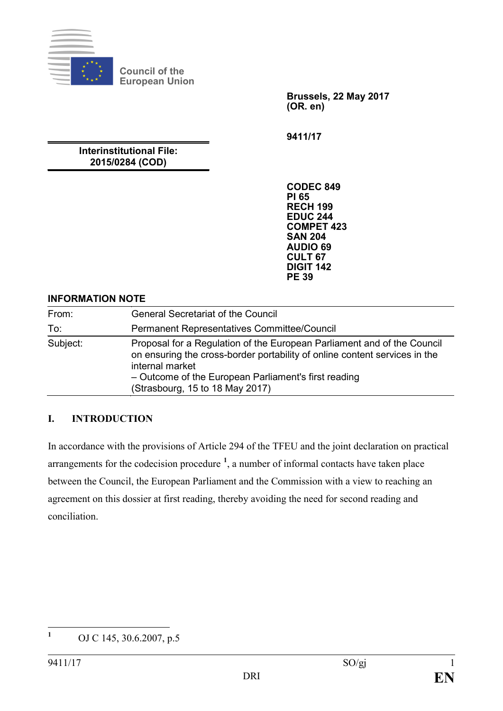

**Council of the European Union**

> **Brussels, 22 May 2017 (OR. en)**

**9411/17**

### **Interinstitutional File: 2015/0284 (COD)**

**CODEC 849 PI 65 RECH 199 EDUC 244 COMPET 423 SAN 204 AUDIO 69 CULT 67 DIGIT 142 PE 39**

### **INFORMATION NOTE**

| From:    | <b>General Secretariat of the Council</b>                                                                                                                                                                                                                           |
|----------|---------------------------------------------------------------------------------------------------------------------------------------------------------------------------------------------------------------------------------------------------------------------|
| To:      | Permanent Representatives Committee/Council                                                                                                                                                                                                                         |
| Subject: | Proposal for a Regulation of the European Parliament and of the Council<br>on ensuring the cross-border portability of online content services in the<br>internal market<br>- Outcome of the European Parliament's first reading<br>(Strasbourg, 15 to 18 May 2017) |

### **I. INTRODUCTION**

In accordance with the provisions of Article 294 of the TFEU and the joint declaration on practical arrangements for the codecision procedure **[1](#page-0-0)** , a number of informal contacts have taken place between the Council, the European Parliament and the Commission with a view to reaching an agreement on this dossier at first reading, thereby avoiding the need for second reading and conciliation.

<span id="page-0-0"></span>**<sup>1</sup>** OJ C 145, 30.6.2007, p.5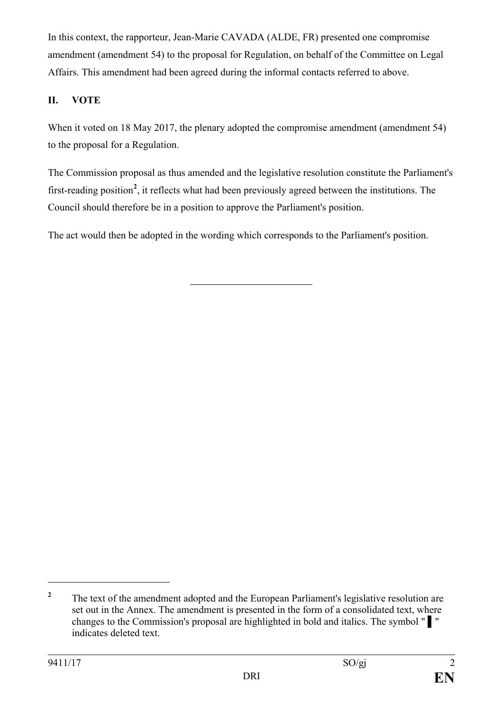In this context, the rapporteur, Jean-Marie CAVADA (ALDE, FR) presented one compromise amendment (amendment 54) to the proposal for Regulation, on behalf of the Committee on Legal Affairs. This amendment had been agreed during the informal contacts referred to above.

## **II. VOTE**

When it voted on 18 May 2017, the plenary adopted the compromise amendment (amendment 54) to the proposal for a Regulation.

The Commission proposal as thus amended and the legislative resolution constitute the Parliament's first-reading position**[2](#page-1-0)** , it reflects what had been previously agreed between the institutions. The Council should therefore be in a position to approve the Parliament's position.

The act would then be adopted in the wording which corresponds to the Parliament's position.

 $\overline{a}$ 

<span id="page-1-0"></span><sup>&</sup>lt;sup>2</sup> The text of the amendment adopted and the European Parliament's legislative resolution are set out in the Annex. The amendment is presented in the form of a consolidated text, where changes to the Commission's proposal are highlighted in bold and italics. The symbol " ▌" indicates deleted text.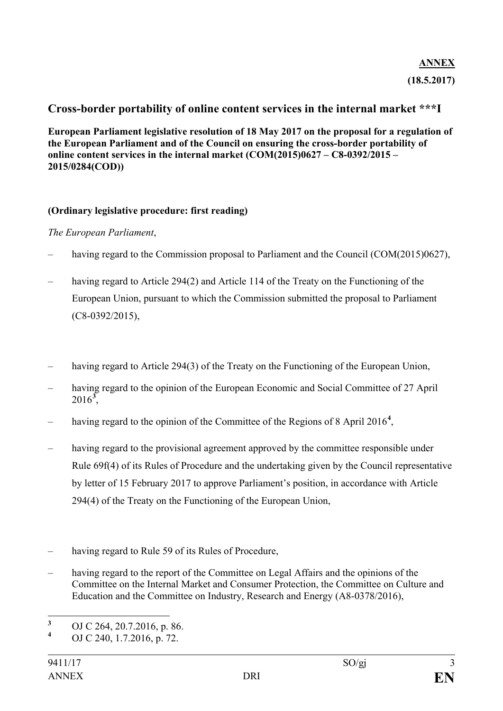# **ANNEX (18.5.2017)**

### **Cross-border portability of online content services in the internal market \*\*\*I**

**European Parliament legislative resolution of 18 May 2017 on the proposal for a regulation of the European Parliament and of the Council on ensuring the cross-border portability of online content services in the internal market (COM(2015)0627 – C8-0392/2015 – 2015/0284(COD))**

#### **(Ordinary legislative procedure: first reading)**

#### *The European Parliament*,

- having regard to the Commission proposal to Parliament and the Council (COM(2015)0627),
- having regard to Article 294(2) and Article 114 of the Treaty on the Functioning of the European Union, pursuant to which the Commission submitted the proposal to Parliament (C8-0392/2015),
- having regard to Article 294(3) of the Treaty on the Functioning of the European Union,
- having regard to the opinion of the European Economic and Social Committee of 27 April 2016**[3](#page-2-0)** ,
- having regard to the opinion of the Committee of the Regions of 8 April 2016**[4](#page-2-1)** ,
- having regard to the provisional agreement approved by the committee responsible under Rule 69f(4) of its Rules of Procedure and the undertaking given by the Council representative by letter of 15 February 2017 to approve Parliament's position, in accordance with Article 294(4) of the Treaty on the Functioning of the European Union,
- having regard to Rule 59 of its Rules of Procedure,
- having regard to the report of the Committee on Legal Affairs and the opinions of the Committee on the Internal Market and Consumer Protection, the Committee on Culture and Education and the Committee on Industry, Research and Energy (A8-0378/2016),

<span id="page-2-0"></span>**<sup>3</sup>** OJ C 264, 20.7.2016, p. 86.

<span id="page-2-1"></span>**<sup>4</sup>** OJ C 240, 1.7.2016, p. 72.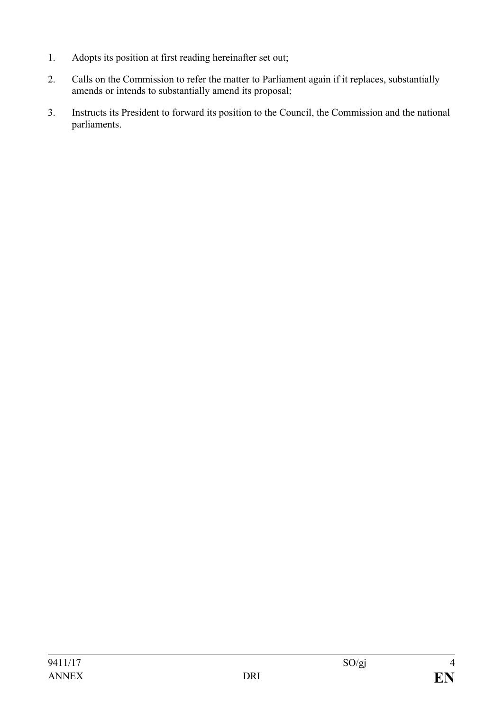- 1. Adopts its position at first reading hereinafter set out;
- 2. Calls on the Commission to refer the matter to Parliament again if it replaces, substantially amends or intends to substantially amend its proposal;
- 3. Instructs its President to forward its position to the Council, the Commission and the national parliaments.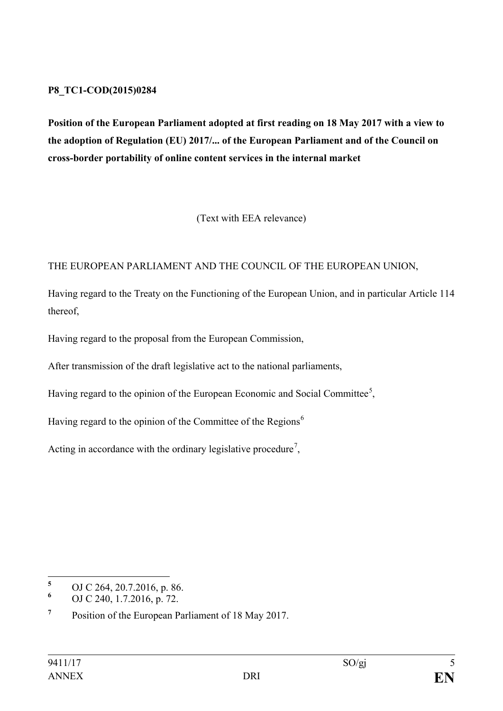#### **P8\_TC1-COD(2015)0284**

**Position of the European Parliament adopted at first reading on 18 May 2017 with a view to the adoption of Regulation (EU) 2017/... of the European Parliament and of the Council on cross-border portability of online content services in the internal market**

(Text with EEA relevance)

### THE EUROPEAN PARLIAMENT AND THE COUNCIL OF THE EUROPEAN UNION,

Having regard to the Treaty on the Functioning of the European Union, and in particular Article 114 thereof,

Having regard to the proposal from the European Commission,

After transmission of the draft legislative act to the national parliaments,

Having regard to the opinion of the European Economic and Social Committee<sup>[5](#page-4-0)</sup>,

Having regard to the opinion of the Committee of the Regions<sup>[6](#page-4-1)</sup>

Acting in accordance with the ordinary legislative procedure<sup>[7](#page-4-2)</sup>,

<span id="page-4-0"></span>**<sup>5</sup>** OJ C 264, 20.7.2016, p. 86.

<span id="page-4-1"></span>**<sup>6</sup>** OJ C 240, 1.7.2016, p. 72.

<span id="page-4-2"></span>**<sup>7</sup>** Position of the European Parliament of 18 May 2017.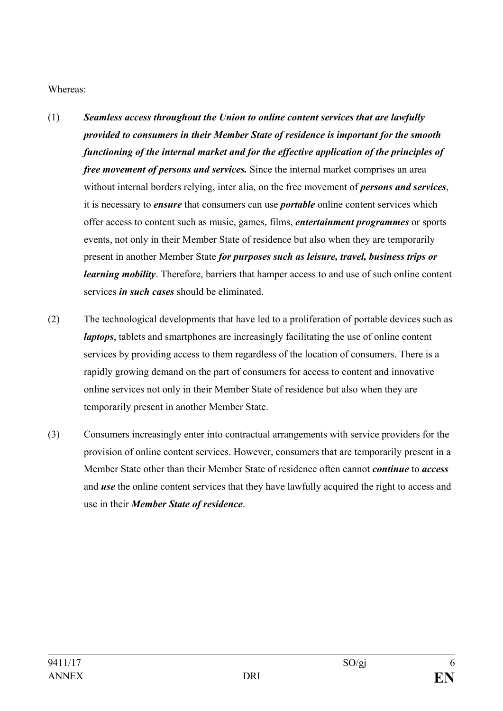Whereas:

- (1) *Seamless access throughout the Union to online content services that are lawfully provided to consumers in their Member State of residence is important for the smooth functioning of the internal market and for the effective application of the principles of free movement of persons and services.* Since the internal market comprises an area without internal borders relying, inter alia, on the free movement of *persons and services*, it is necessary to *ensure* that consumers can use *portable* online content services which offer access to content such as music, games, films, *entertainment programmes* or sports events, not only in their Member State of residence but also when they are temporarily present in another Member State *for purposes such as leisure, travel, business trips or learning mobility*. Therefore, barriers that hamper access to and use of such online content services *in such cases* should be eliminated.
- (2) The technological developments that have led to a proliferation of portable devices such as *laptops*, tablets and smartphones are increasingly facilitating the use of online content services by providing access to them regardless of the location of consumers. There is a rapidly growing demand on the part of consumers for access to content and innovative online services not only in their Member State of residence but also when they are temporarily present in another Member State.
- (3) Consumers increasingly enter into contractual arrangements with service providers for the provision of online content services. However, consumers that are temporarily present in a Member State other than their Member State of residence often cannot *continue* to *access* and *use* the online content services that they have lawfully acquired the right to access and use in their *Member State of residence*.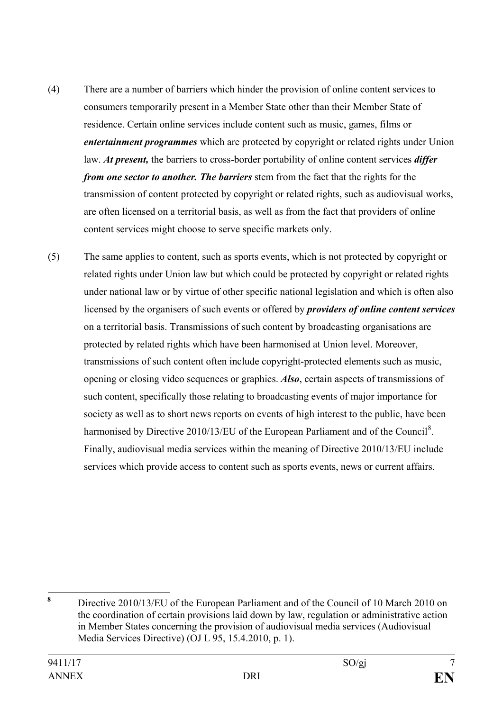- (4) There are a number of barriers which hinder the provision of online content services to consumers temporarily present in a Member State other than their Member State of residence. Certain online services include content such as music, games, films or *entertainment programmes* which are protected by copyright or related rights under Union law. *At present,* the barriers to cross-border portability of online content services *differ from one sector to another. The barriers* stem from the fact that the rights for the transmission of content protected by copyright or related rights, such as audiovisual works, are often licensed on a territorial basis, as well as from the fact that providers of online content services might choose to serve specific markets only.
- (5) The same applies to content, such as sports events, which is not protected by copyright or related rights under Union law but which could be protected by copyright or related rights under national law or by virtue of other specific national legislation and which is often also licensed by the organisers of such events or offered by *providers of online content services* on a territorial basis. Transmissions of such content by broadcasting organisations are protected by related rights which have been harmonised at Union level. Moreover, transmissions of such content often include copyright-protected elements such as music, opening or closing video sequences or graphics. *Also*, certain aspects of transmissions of such content, specifically those relating to broadcasting events of major importance for society as well as to short news reports on events of high interest to the public, have been harmonised by Directive 2010/13/EU of the European Parliament and of the Council<sup>[8](#page-6-0)</sup>. Finally, audiovisual media services within the meaning of Directive 2010/13/EU include services which provide access to content such as sports events, news or current affairs.

<span id="page-6-0"></span>**<sup>8</sup>** Directive 2010/13/EU of the European Parliament and of the Council of 10 March 2010 on the coordination of certain provisions laid down by law, regulation or administrative action in Member States concerning the provision of audiovisual media services (Audiovisual Media Services Directive) (OJ L 95, 15.4.2010, p. 1).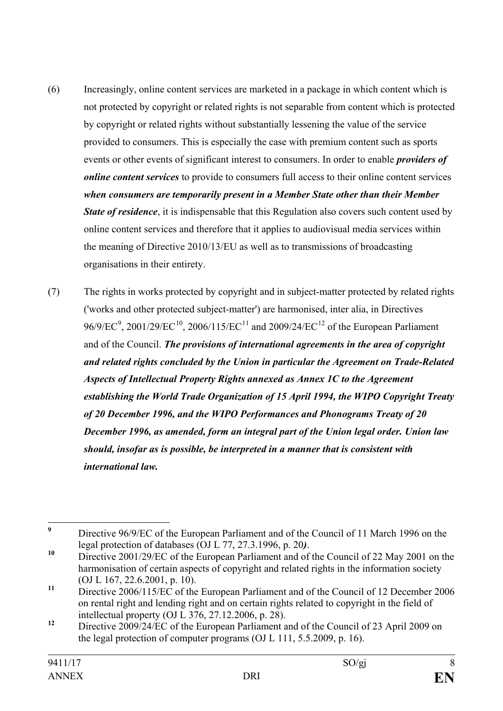- (6) Increasingly, online content services are marketed in a package in which content which is not protected by copyright or related rights is not separable from content which is protected by copyright or related rights without substantially lessening the value of the service provided to consumers. This is especially the case with premium content such as sports events or other events of significant interest to consumers. In order to enable *providers of online content services* to provide to consumers full access to their online content services *when consumers are temporarily present in a Member State other than their Member State of residence*, it is indispensable that this Regulation also covers such content used by online content services and therefore that it applies to audiovisual media services within the meaning of Directive 2010/13/EU as well as to transmissions of broadcasting organisations in their entirety.
- (7) The rights in works protected by copyright and in subject-matter protected by related rights ('works and other protected subject-matter') are harmonised, inter alia, in Directives [9](#page-7-0)6/9/EC<sup>9</sup>, 2001/29/EC<sup>[10](#page-7-1)</sup>, 2006/[11](#page-7-2)5/EC<sup>11</sup> and 2009/24/EC<sup>[12](#page-7-3)</sup> of the European Parliament and of the Council. *The provisions of international agreements in the area of copyright and related rights concluded by the Union in particular the Agreement on Trade-Related Aspects of Intellectual Property Rights annexed as Annex 1C to the Agreement establishing the World Trade Organization of 15 April 1994, the WIPO Copyright Treaty of 20 December 1996, and the WIPO Performances and Phonograms Treaty of 20 December 1996, as amended, form an integral part of the Union legal order. Union law should, insofar as is possible, be interpreted in a manner that is consistent with international law.*

<span id="page-7-0"></span>**<sup>9</sup>** Directive 96/9/EC of the European Parliament and of the Council of 11 March 1996 on the

<span id="page-7-1"></span>legal protection of databases (OJ L 77, 27.3.1996, p. 20*)*. **<sup>10</sup>** Directive 2001/29/EC of the European Parliament and of the Council of 22 May 2001 on the harmonisation of certain aspects of copyright and related rights in the information society (OJ L 167, 22.6.2001, p. 10).

<span id="page-7-2"></span>**<sup>11</sup>** Directive 2006/115/EC of the European Parliament and of the Council of 12 December 2006 on rental right and lending right and on certain rights related to copyright in the field of intellectual property (OJ L 376, 27.12.2006, p. 28).

<span id="page-7-3"></span><sup>&</sup>lt;sup>12</sup> Directive 2009/24/EC of the European Parliament and of the Council of 23 April 2009 on the legal protection of computer programs (OJ L 111, 5.5.2009, p. 16).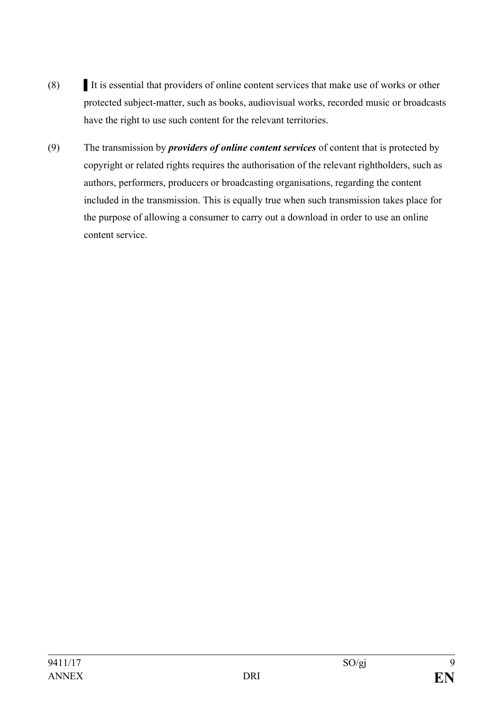- (8) It is essential that providers of online content services that make use of works or other protected subject-matter, such as books, audiovisual works, recorded music or broadcasts have the right to use such content for the relevant territories.
- (9) The transmission by *providers of online content services* of content that is protected by copyright or related rights requires the authorisation of the relevant rightholders, such as authors, performers, producers or broadcasting organisations, regarding the content included in the transmission. This is equally true when such transmission takes place for the purpose of allowing a consumer to carry out a download in order to use an online content service.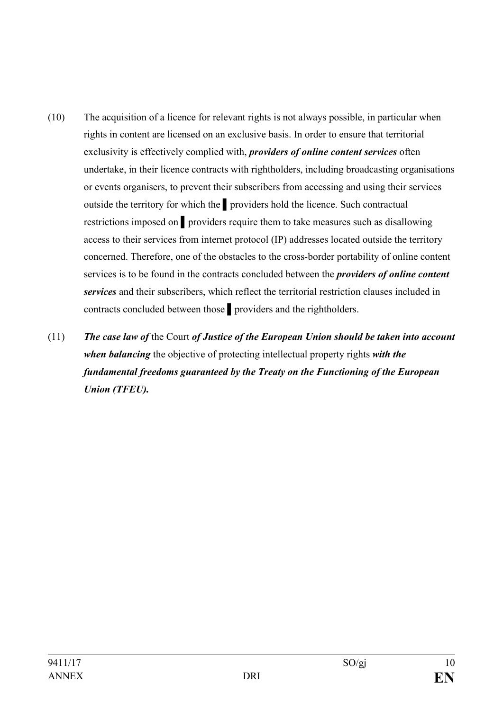- (10) The acquisition of a licence for relevant rights is not always possible, in particular when rights in content are licensed on an exclusive basis. In order to ensure that territorial exclusivity is effectively complied with, *providers of online content services* often undertake, in their licence contracts with rightholders, including broadcasting organisations or events organisers, to prevent their subscribers from accessing and using their services outside the territory for which the ▌providers hold the licence. Such contractual restrictions imposed on ▌providers require them to take measures such as disallowing access to their services from internet protocol (IP) addresses located outside the territory concerned. Therefore, one of the obstacles to the cross-border portability of online content services is to be found in the contracts concluded between the *providers of online content services* and their subscribers, which reflect the territorial restriction clauses included in contracts concluded between those ▌providers and the rightholders.
- (11) *The case law of* the Court *of Justice of the European Union should be taken into account when balancing* the objective of protecting intellectual property rights *with the fundamental freedoms guaranteed by the Treaty on the Functioning of the European Union (TFEU).*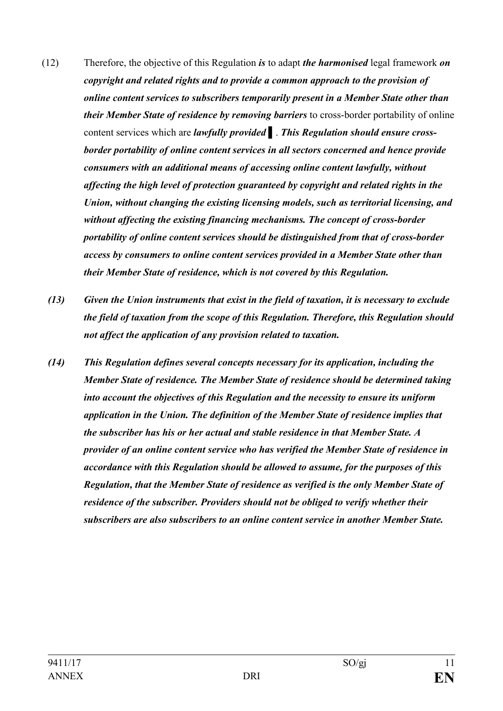- (12) Therefore, the objective of this Regulation *is* to adapt *the harmonised* legal framework *on copyright and related rights and to provide a common approach to the provision of online content services to subscribers temporarily present in a Member State other than their Member State of residence by removing barriers* to cross-border portability of online content services which are *lawfully provided* ▌. *This Regulation should ensure crossborder portability of online content services in all sectors concerned and hence provide consumers with an additional means of accessing online content lawfully, without affecting the high level of protection guaranteed by copyright and related rights in the Union, without changing the existing licensing models, such as territorial licensing, and without affecting the existing financing mechanisms. The concept of cross-border portability of online content services should be distinguished from that of cross-border access by consumers to online content services provided in a Member State other than their Member State of residence, which is not covered by this Regulation.*
	- *(13) Given the Union instruments that exist in the field of taxation, it is necessary to exclude the field of taxation from the scope of this Regulation. Therefore, this Regulation should not affect the application of any provision related to taxation.*
	- *(14) This Regulation defines several concepts necessary for its application, including the Member State of residence. The Member State of residence should be determined taking into account the objectives of this Regulation and the necessity to ensure its uniform application in the Union. The definition of the Member State of residence implies that the subscriber has his or her actual and stable residence in that Member State. A provider of an online content service who has verified the Member State of residence in accordance with this Regulation should be allowed to assume, for the purposes of this Regulation, that the Member State of residence as verified is the only Member State of residence of the subscriber. Providers should not be obliged to verify whether their subscribers are also subscribers to an online content service in another Member State.*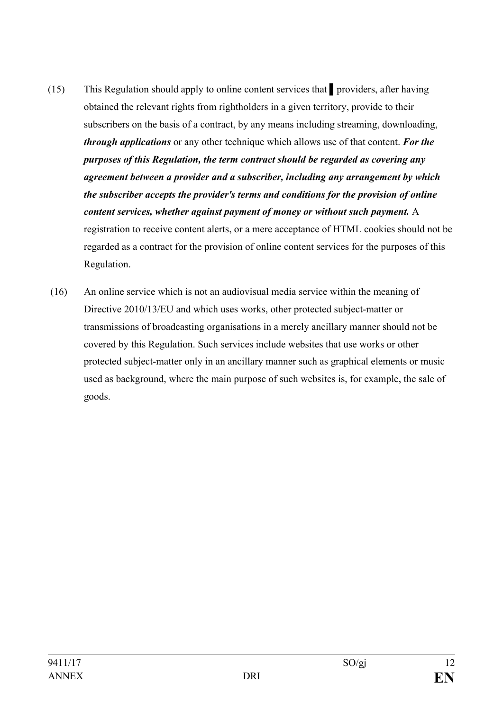- (15) This Regulation should apply to online content services that ▌providers, after having obtained the relevant rights from rightholders in a given territory, provide to their subscribers on the basis of a contract, by any means including streaming, downloading, *through applications* or any other technique which allows use of that content. *For the purposes of this Regulation, the term contract should be regarded as covering any agreement between a provider and a subscriber, including any arrangement by which the subscriber accepts the provider's terms and conditions for the provision of online content services, whether against payment of money or without such payment.* A registration to receive content alerts, or a mere acceptance of HTML cookies should not be regarded as a contract for the provision of online content services for the purposes of this Regulation.
- (16) An online service which is not an audiovisual media service within the meaning of Directive 2010/13/EU and which uses works, other protected subject-matter or transmissions of broadcasting organisations in a merely ancillary manner should not be covered by this Regulation. Such services include websites that use works or other protected subject-matter only in an ancillary manner such as graphical elements or music used as background, where the main purpose of such websites is, for example, the sale of goods.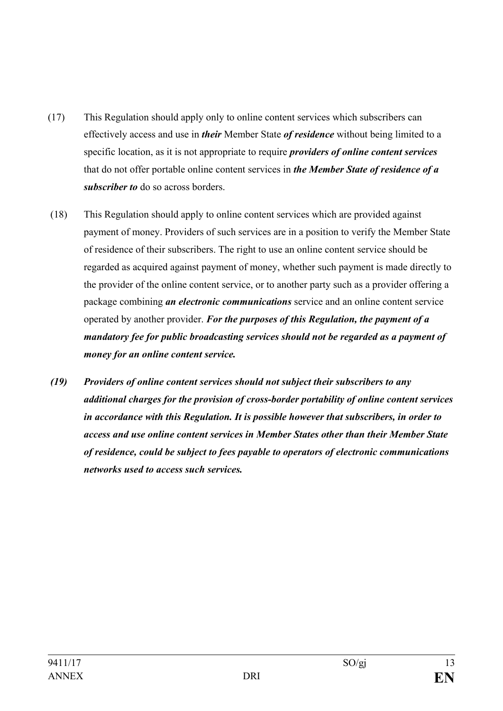- (17) This Regulation should apply only to online content services which subscribers can effectively access and use in *their* Member State *of residence* without being limited to a specific location, as it is not appropriate to require *providers of online content services* that do not offer portable online content services in *the Member State of residence of a subscriber to* do so across borders.
- (18) This Regulation should apply to online content services which are provided against payment of money. Providers of such services are in a position to verify the Member State of residence of their subscribers. The right to use an online content service should be regarded as acquired against payment of money, whether such payment is made directly to the provider of the online content service, or to another party such as a provider offering a package combining *an electronic communications* service and an online content service operated by another provider. *For the purposes of this Regulation, the payment of a mandatory fee for public broadcasting services should not be regarded as a payment of money for an online content service.*
- *(19) Providers of online content services should not subject their subscribers to any additional charges for the provision of cross-border portability of online content services in accordance with this Regulation. It is possible however that subscribers, in order to access and use online content services in Member States other than their Member State of residence, could be subject to fees payable to operators of electronic communications networks used to access such services.*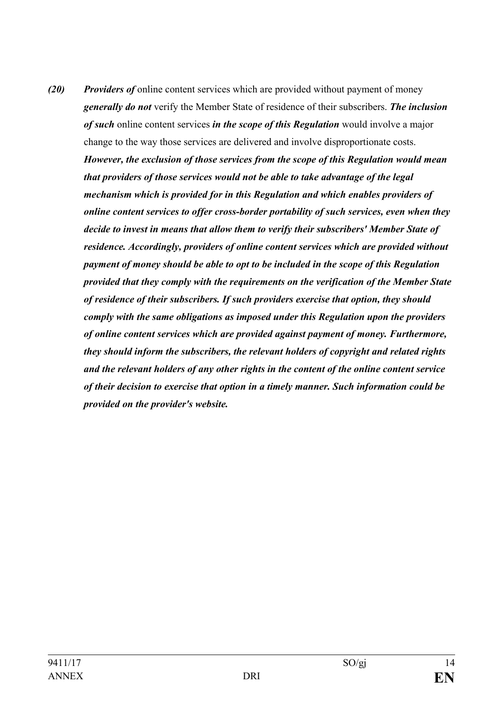*(20) Providers of* online content services which are provided without payment of money *generally do not* verify the Member State of residence of their subscribers. *The inclusion of such* online content services *in the scope of this Regulation* would involve a major change to the way those services are delivered and involve disproportionate costs. *However, the exclusion of those services from the scope of this Regulation would mean that providers of those services would not be able to take advantage of the legal mechanism which is provided for in this Regulation and which enables providers of online content services to offer cross-border portability of such services, even when they decide to invest in means that allow them to verify their subscribers' Member State of residence. Accordingly, providers of online content services which are provided without payment of money should be able to opt to be included in the scope of this Regulation provided that they comply with the requirements on the verification of the Member State of residence of their subscribers. If such providers exercise that option, they should comply with the same obligations as imposed under this Regulation upon the providers of online content services which are provided against payment of money. Furthermore, they should inform the subscribers, the relevant holders of copyright and related rights and the relevant holders of any other rights in the content of the online content service of their decision to exercise that option in a timely manner. Such information could be provided on the provider's website.*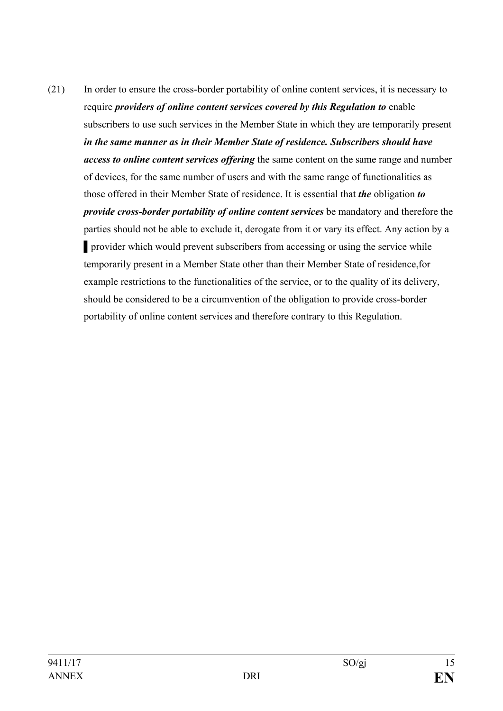(21) In order to ensure the cross-border portability of online content services, it is necessary to require *providers of online content services covered by this Regulation to* enable subscribers to use such services in the Member State in which they are temporarily present *in the same manner as in their Member State of residence. Subscribers should have access to online content services offering* the same content on the same range and number of devices, for the same number of users and with the same range of functionalities as those offered in their Member State of residence. It is essential that *the* obligation *to provide cross-border portability of online content services* be mandatory and therefore the parties should not be able to exclude it, derogate from it or vary its effect. Any action by a ▌provider which would prevent subscribers from accessing or using the service while temporarily present in a Member State other than their Member State of residence,for example restrictions to the functionalities of the service, or to the quality of its delivery, should be considered to be a circumvention of the obligation to provide cross-border portability of online content services and therefore contrary to this Regulation.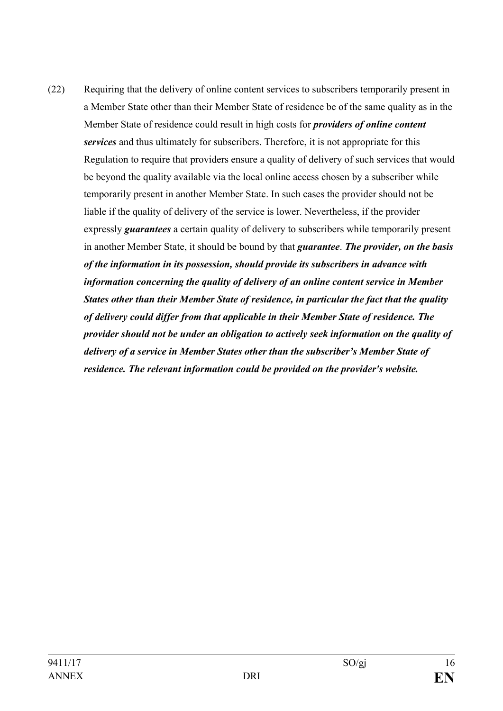(22) Requiring that the delivery of online content services to subscribers temporarily present in a Member State other than their Member State of residence be of the same quality as in the Member State of residence could result in high costs for *providers of online content services* and thus ultimately for subscribers. Therefore, it is not appropriate for this Regulation to require that providers ensure a quality of delivery of such services that would be beyond the quality available via the local online access chosen by a subscriber while temporarily present in another Member State. In such cases the provider should not be liable if the quality of delivery of the service is lower. Nevertheless, if the provider expressly *guarantees* a certain quality of delivery to subscribers while temporarily present in another Member State, it should be bound by that *guarantee*. *The provider, on the basis of the information in its possession, should provide its subscribers in advance with information concerning the quality of delivery of an online content service in Member States other than their Member State of residence, in particular the fact that the quality of delivery could differ from that applicable in their Member State of residence. The provider should not be under an obligation to actively seek information on the quality of delivery of a service in Member States other than the subscriber's Member State of residence. The relevant information could be provided on the provider's website.*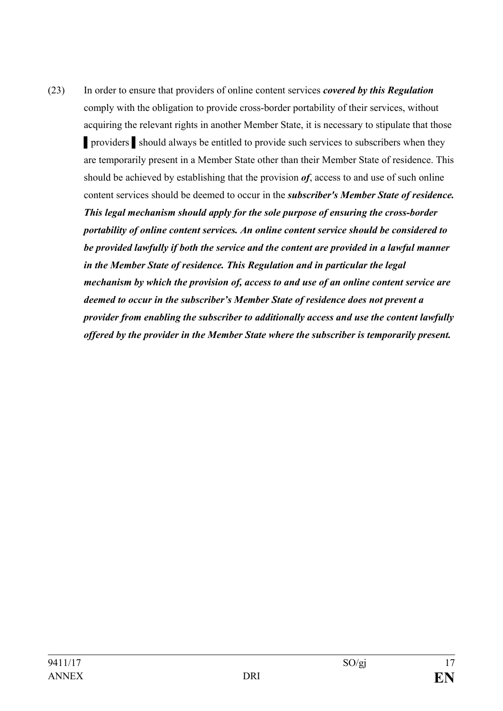(23) In order to ensure that providers of online content services *covered by this Regulation*  comply with the obligation to provide cross-border portability of their services, without acquiring the relevant rights in another Member State, it is necessary to stipulate that those ▌providers ▌should always be entitled to provide such services to subscribers when they are temporarily present in a Member State other than their Member State of residence. This should be achieved by establishing that the provision *of*, access to and use of such online content services should be deemed to occur in the *subscriber's Member State of residence. This legal mechanism should apply for the sole purpose of ensuring the cross-border portability of online content services. An online content service should be considered to be provided lawfully if both the service and the content are provided in a lawful manner in the Member State of residence. This Regulation and in particular the legal mechanism by which the provision of, access to and use of an online content service are deemed to occur in the subscriber's Member State of residence does not prevent a provider from enabling the subscriber to additionally access and use the content lawfully offered by the provider in the Member State where the subscriber is temporarily present.*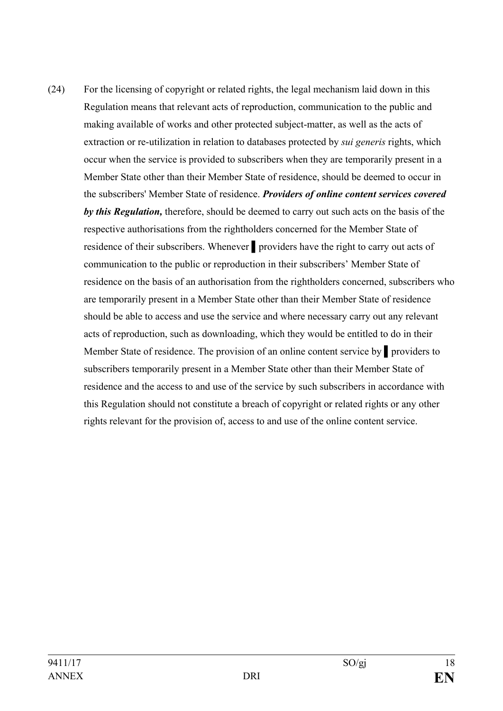(24) For the licensing of copyright or related rights, the legal mechanism laid down in this Regulation means that relevant acts of reproduction, communication to the public and making available of works and other protected subject-matter, as well as the acts of extraction or re-utilization in relation to databases protected by *sui generis* rights, which occur when the service is provided to subscribers when they are temporarily present in a Member State other than their Member State of residence, should be deemed to occur in the subscribers' Member State of residence. *Providers of online content services covered by this Regulation,* therefore, should be deemed to carry out such acts on the basis of the respective authorisations from the rightholders concerned for the Member State of residence of their subscribers. Whenever ▌providers have the right to carry out acts of communication to the public or reproduction in their subscribers' Member State of residence on the basis of an authorisation from the rightholders concerned, subscribers who are temporarily present in a Member State other than their Member State of residence should be able to access and use the service and where necessary carry out any relevant acts of reproduction, such as downloading, which they would be entitled to do in their Member State of residence. The provision of an online content service by ▌providers to subscribers temporarily present in a Member State other than their Member State of residence and the access to and use of the service by such subscribers in accordance with this Regulation should not constitute a breach of copyright or related rights or any other rights relevant for the provision of, access to and use of the online content service.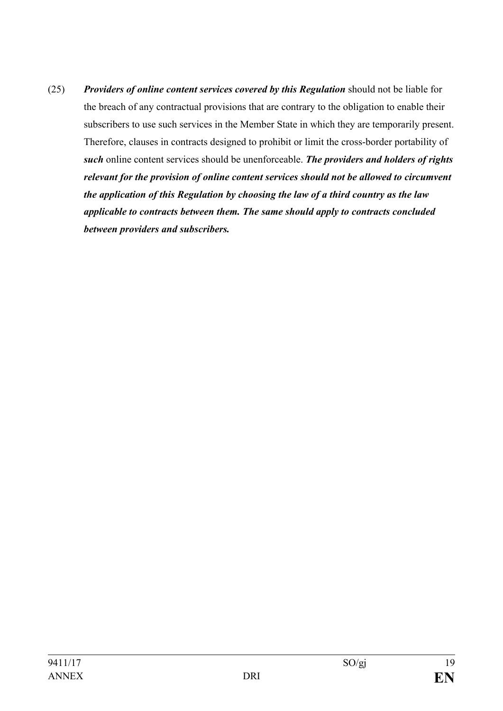(25) *Providers of online content services covered by this Regulation* should not be liable for the breach of any contractual provisions that are contrary to the obligation to enable their subscribers to use such services in the Member State in which they are temporarily present. Therefore, clauses in contracts designed to prohibit or limit the cross-border portability of *such* online content services should be unenforceable. *The providers and holders of rights relevant for the provision of online content services should not be allowed to circumvent the application of this Regulation by choosing the law of a third country as the law applicable to contracts between them. The same should apply to contracts concluded between providers and subscribers.*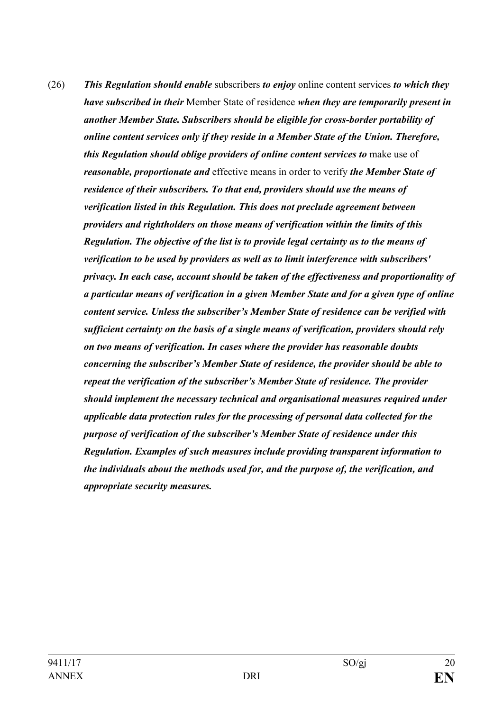(26) *This Regulation should enable* subscribers *to enjoy* online content services *to which they have subscribed in their* Member State of residence *when they are temporarily present in another Member State. Subscribers should be eligible for cross-border portability of online content services only if they reside in a Member State of the Union. Therefore, this Regulation should oblige providers of online content services to make use of reasonable, proportionate and* effective means in order to verify *the Member State of residence of their subscribers. To that end, providers should use the means of verification listed in this Regulation. This does not preclude agreement between providers and rightholders on those means of verification within the limits of this Regulation. The objective of the list is to provide legal certainty as to the means of verification to be used by providers as well as to limit interference with subscribers' privacy. In each case, account should be taken of the effectiveness and proportionality of a particular means of verification in a given Member State and for a given type of online content service. Unless the subscriber's Member State of residence can be verified with sufficient certainty on the basis of a single means of verification, providers should rely on two means of verification. In cases where the provider has reasonable doubts concerning the subscriber's Member State of residence, the provider should be able to repeat the verification of the subscriber's Member State of residence. The provider should implement the necessary technical and organisational measures required under applicable data protection rules for the processing of personal data collected for the purpose of verification of the subscriber's Member State of residence under this Regulation. Examples of such measures include providing transparent information to the individuals about the methods used for, and the purpose of, the verification, and appropriate security measures.*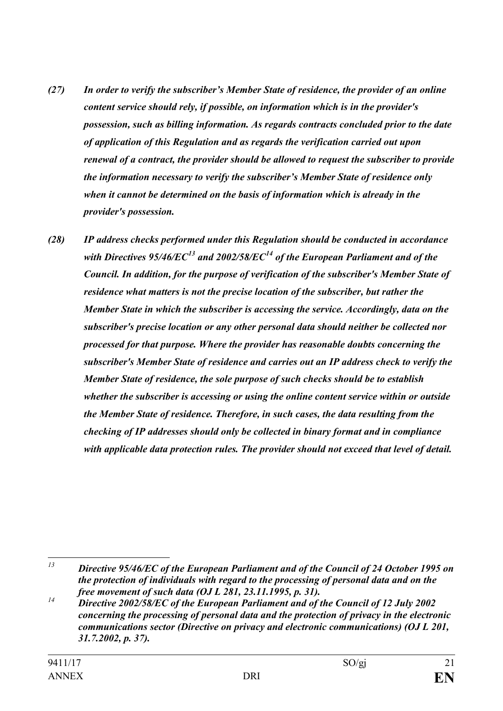- *(27) In order to verify the subscriber's Member State of residence, the provider of an online content service should rely, if possible, on information which is in the provider's possession, such as billing information. As regards contracts concluded prior to the date of application of this Regulation and as regards the verification carried out upon renewal of a contract, the provider should be allowed to request the subscriber to provide the information necessary to verify the subscriber's Member State of residence only when it cannot be determined on the basis of information which is already in the provider's possession.*
- *(28) IP address checks performed under this Regulation should be conducted in accordance with Directives 95/46/EC[13](#page-20-0) and 2002/58/EC[14](#page-20-1) of the European Parliament and of the Council. In addition, for the purpose of verification of the subscriber's Member State of residence what matters is not the precise location of the subscriber, but rather the Member State in which the subscriber is accessing the service. Accordingly, data on the subscriber's precise location or any other personal data should neither be collected nor processed for that purpose. Where the provider has reasonable doubts concerning the subscriber's Member State of residence and carries out an IP address check to verify the Member State of residence, the sole purpose of such checks should be to establish whether the subscriber is accessing or using the online content service within or outside the Member State of residence. Therefore, in such cases, the data resulting from the checking of IP addresses should only be collected in binary format and in compliance with applicable data protection rules. The provider should not exceed that level of detail.*

<span id="page-20-0"></span>*<sup>13</sup> Directive 95/46/EC of the European Parliament and of the Council of 24 October 1995 on the protection of individuals with regard to the processing of personal data and on the free movement of such data (OJ L 281, 23.11.1995, p. 31).*

<span id="page-20-1"></span>*<sup>14</sup> Directive 2002/58/EC of the European Parliament and of the Council of 12 July 2002 concerning the processing of personal data and the protection of privacy in the electronic communications sector (Directive on privacy and electronic communications) (OJ L 201, 31.7.2002, p. 37).*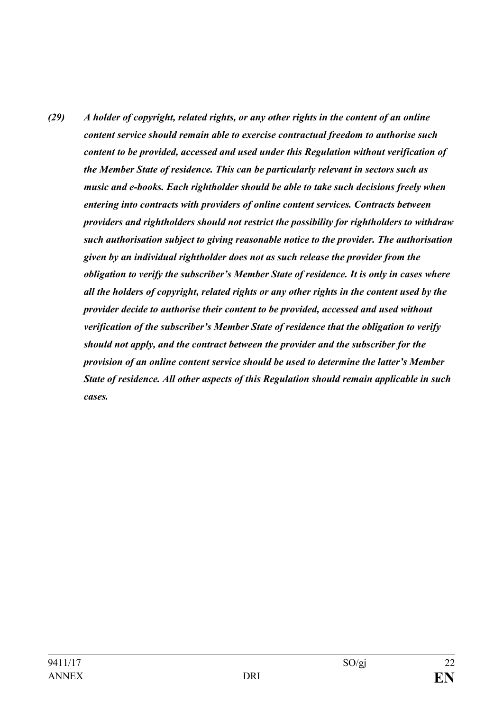*(29) A holder of copyright, related rights, or any other rights in the content of an online content service should remain able to exercise contractual freedom to authorise such content to be provided, accessed and used under this Regulation without verification of the Member State of residence. This can be particularly relevant in sectors such as music and e-books. Each rightholder should be able to take such decisions freely when entering into contracts with providers of online content services. Contracts between providers and rightholders should not restrict the possibility for rightholders to withdraw such authorisation subject to giving reasonable notice to the provider. The authorisation given by an individual rightholder does not as such release the provider from the obligation to verify the subscriber's Member State of residence. It is only in cases where all the holders of copyright, related rights or any other rights in the content used by the provider decide to authorise their content to be provided, accessed and used without verification of the subscriber's Member State of residence that the obligation to verify should not apply, and the contract between the provider and the subscriber for the provision of an online content service should be used to determine the latter's Member State of residence. All other aspects of this Regulation should remain applicable in such cases.*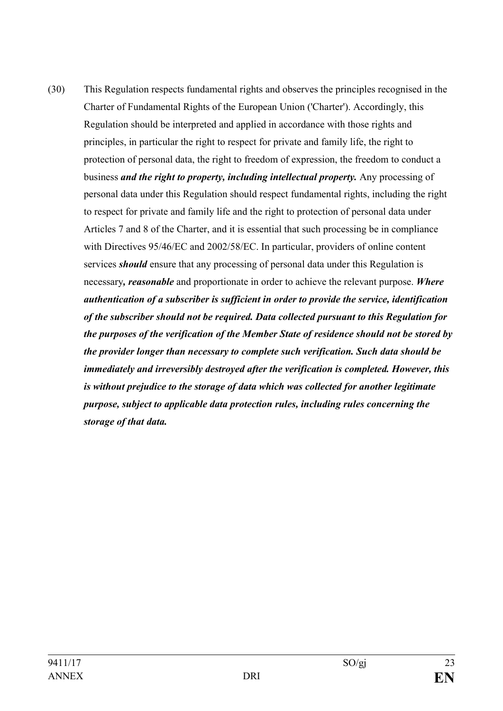(30) This Regulation respects fundamental rights and observes the principles recognised in the Charter of Fundamental Rights of the European Union ('Charter'). Accordingly, this Regulation should be interpreted and applied in accordance with those rights and principles, in particular the right to respect for private and family life, the right to protection of personal data, the right to freedom of expression, the freedom to conduct a business *and the right to property, including intellectual property.* Any processing of personal data under this Regulation should respect fundamental rights, including the right to respect for private and family life and the right to protection of personal data under Articles 7 and 8 of the Charter, and it is essential that such processing be in compliance with Directives 95/46/EC and 2002/58/EC. In particular, providers of online content services *should* ensure that any processing of personal data under this Regulation is necessary*, reasonable* and proportionate in order to achieve the relevant purpose. *Where authentication of a subscriber is sufficient in order to provide the service, identification of the subscriber should not be required. Data collected pursuant to this Regulation for the purposes of the verification of the Member State of residence should not be stored by the provider longer than necessary to complete such verification. Such data should be immediately and irreversibly destroyed after the verification is completed. However, this is without prejudice to the storage of data which was collected for another legitimate purpose, subject to applicable data protection rules, including rules concerning the storage of that data.*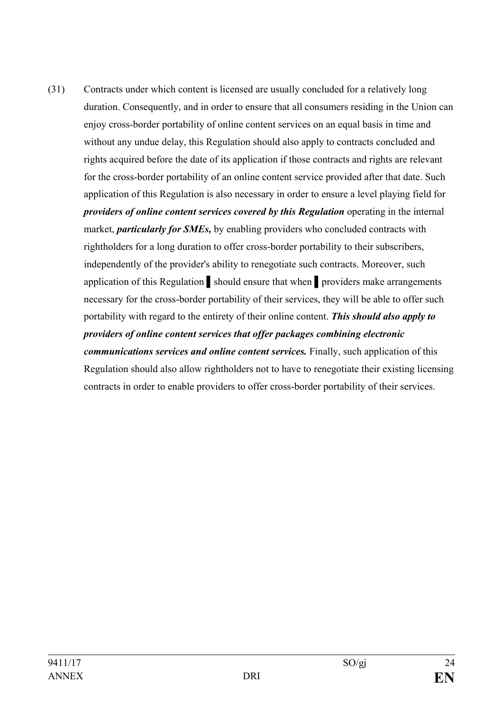(31) Contracts under which content is licensed are usually concluded for a relatively long duration. Consequently, and in order to ensure that all consumers residing in the Union can enjoy cross-border portability of online content services on an equal basis in time and without any undue delay, this Regulation should also apply to contracts concluded and rights acquired before the date of its application if those contracts and rights are relevant for the cross-border portability of an online content service provided after that date. Such application of this Regulation is also necessary in order to ensure a level playing field for *providers of online content services covered by this Regulation* operating in the internal market, *particularly for SMEs,* by enabling providers who concluded contracts with rightholders for a long duration to offer cross-border portability to their subscribers, independently of the provider's ability to renegotiate such contracts. Moreover, such application of this Regulation ▌should ensure that when ▌providers make arrangements necessary for the cross-border portability of their services, they will be able to offer such portability with regard to the entirety of their online content. *This should also apply to providers of online content services that offer packages combining electronic communications services and online content services.* Finally, such application of this Regulation should also allow rightholders not to have to renegotiate their existing licensing contracts in order to enable providers to offer cross-border portability of their services.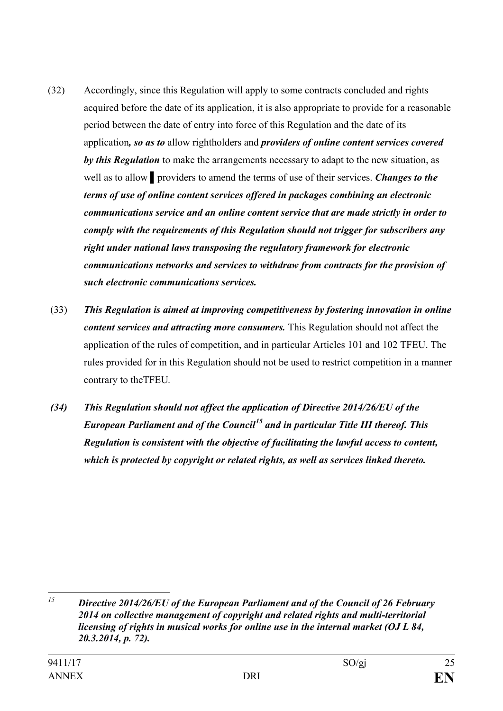- (32) Accordingly, since this Regulation will apply to some contracts concluded and rights acquired before the date of its application, it is also appropriate to provide for a reasonable period between the date of entry into force of this Regulation and the date of its application*, so as to* allow rightholders and *providers of online content services covered by this Regulation* to make the arrangements necessary to adapt to the new situation, as well as to allow ▌providers to amend the terms of use of their services. *Changes to the terms of use of online content services offered in packages combining an electronic communications service and an online content service that are made strictly in order to comply with the requirements of this Regulation should not trigger for subscribers any right under national laws transposing the regulatory framework for electronic communications networks and services to withdraw from contracts for the provision of such electronic communications services.*
- (33) *This Regulation is aimed at improving competitiveness by fostering innovation in online content services and attracting more consumers.* This Regulation should not affect the application of the rules of competition, and in particular Articles 101 and 102 TFEU. The rules provided for in this Regulation should not be used to restrict competition in a manner contrary to theTFEU*.*
- *(34) This Regulation should not affect the application of Directive 2014/26/EU of the European Parliament and of the Council[15](#page-24-0) and in particular Title III thereof. This Regulation is consistent with the objective of facilitating the lawful access to content, which is protected by copyright or related rights, as well as services linked thereto.*

<span id="page-24-0"></span>*<sup>15</sup> Directive 2014/26/EU of the European Parliament and of the Council of 26 February 2014 on collective management of copyright and related rights and multi-territorial licensing of rights in musical works for online use in the internal market (OJ L 84, 20.3.2014, p. 72).*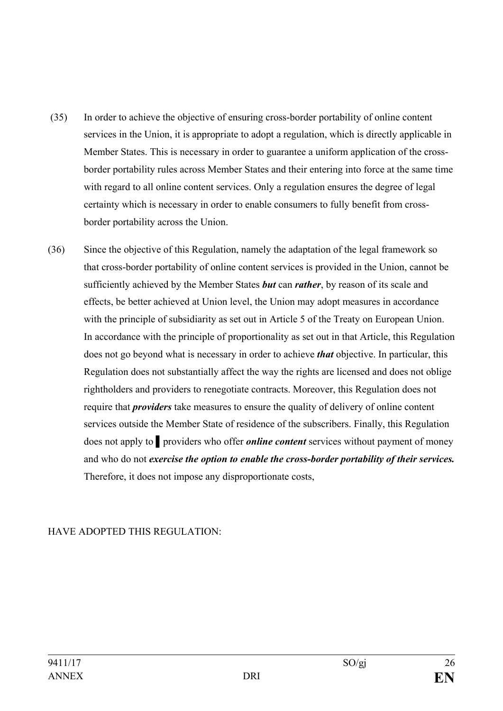- (35) In order to achieve the objective of ensuring cross-border portability of online content services in the Union, it is appropriate to adopt a regulation, which is directly applicable in Member States. This is necessary in order to guarantee a uniform application of the crossborder portability rules across Member States and their entering into force at the same time with regard to all online content services. Only a regulation ensures the degree of legal certainty which is necessary in order to enable consumers to fully benefit from crossborder portability across the Union.
- (36) Since the objective of this Regulation, namely the adaptation of the legal framework so that cross-border portability of online content services is provided in the Union, cannot be sufficiently achieved by the Member States *but* can *rather*, by reason of its scale and effects, be better achieved at Union level, the Union may adopt measures in accordance with the principle of subsidiarity as set out in Article 5 of the Treaty on European Union. In accordance with the principle of proportionality as set out in that Article, this Regulation does not go beyond what is necessary in order to achieve *that* objective. In particular, this Regulation does not substantially affect the way the rights are licensed and does not oblige rightholders and providers to renegotiate contracts. Moreover, this Regulation does not require that *providers* take measures to ensure the quality of delivery of online content services outside the Member State of residence of the subscribers. Finally, this Regulation does not apply to ▌providers who offer *online content* services without payment of money and who do not *exercise the option to enable the cross-border portability of their services.* Therefore, it does not impose any disproportionate costs,

### HAVE ADOPTED THIS REGULATION: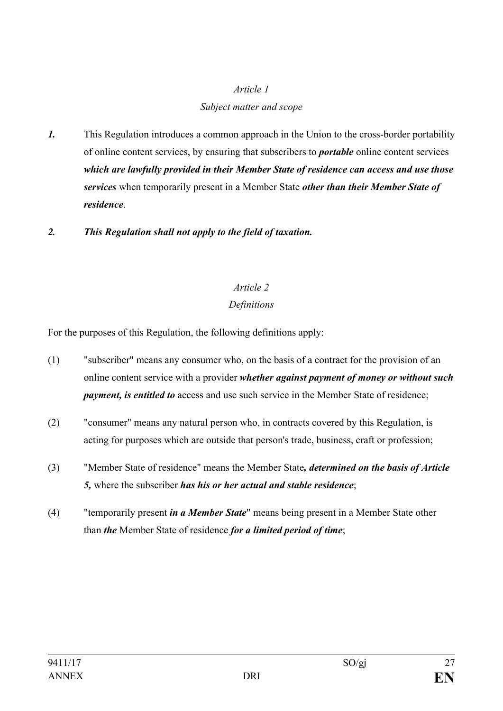## *Subject matter and scope*

- *1.* This Regulation introduces a common approach in the Union to the cross-border portability of online content services, by ensuring that subscribers to *portable* online content services *which are lawfully provided in their Member State of residence can access and use those services* when temporarily present in a Member State *other than their Member State of residence*.
- *2. This Regulation shall not apply to the field of taxation.*

# *Article 2*

# *Definitions*

For the purposes of this Regulation, the following definitions apply:

- (1) "subscriber" means any consumer who, on the basis of a contract for the provision of an online content service with a provider *whether against payment of money or without such payment, is entitled to* access and use such service in the Member State of residence;
- (2) "consumer" means any natural person who, in contracts covered by this Regulation, is acting for purposes which are outside that person's trade, business, craft or profession;
- (3) "Member State of residence" means the Member State*, determined on the basis of Article 5,* where the subscriber *has his or her actual and stable residence*;
- (4) "temporarily present *in a Member State*" means being present in a Member State other than *the* Member State of residence *for a limited period of time*;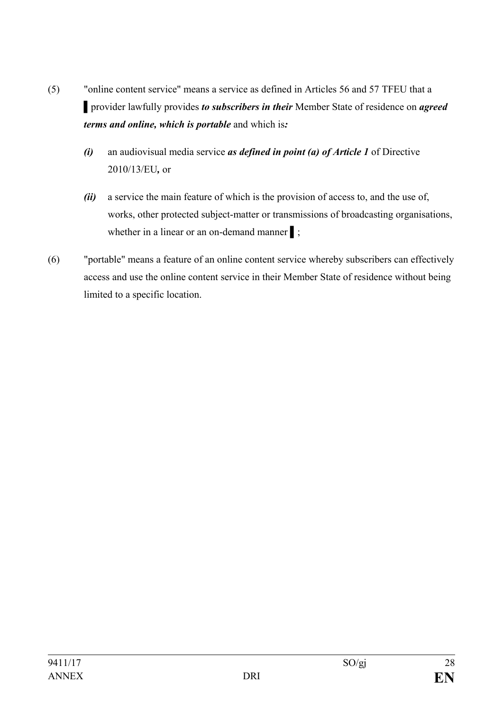- (5) "online content service" means a service as defined in Articles 56 and 57 TFEU that a ▌provider lawfully provides *to subscribers in their* Member State of residence on *agreed terms and online, which is portable* and which is*:*
	- *(i)* an audiovisual media service *as defined in point (a) of Article 1* of Directive 2010/13/EU*,* or
	- *(ii)* a service the main feature of which is the provision of access to, and the use of, works, other protected subject-matter or transmissions of broadcasting organisations, whether in a linear or an on-demand manner :
- (6) "portable" means a feature of an online content service whereby subscribers can effectively access and use the online content service in their Member State of residence without being limited to a specific location.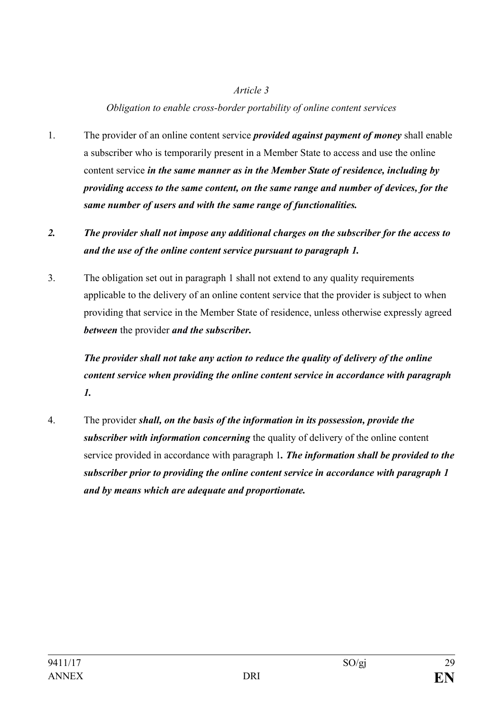### *Obligation to enable cross-border portability of online content services*

- 1. The provider of an online content service *provided against payment of money* shall enable a subscriber who is temporarily present in a Member State to access and use the online content service *in the same manner as in the Member State of residence, including by providing access to the same content, on the same range and number of devices, for the same number of users and with the same range of functionalities.*
- *2. The provider shall not impose any additional charges on the subscriber for the access to and the use of the online content service pursuant to paragraph 1.*
- 3. The obligation set out in paragraph 1 shall not extend to any quality requirements applicable to the delivery of an online content service that the provider is subject to when providing that service in the Member State of residence, unless otherwise expressly agreed *between* the provider *and the subscriber.*

*The provider shall not take any action to reduce the quality of delivery of the online content service when providing the online content service in accordance with paragraph 1.* 

4. The provider *shall, on the basis of the information in its possession, provide the subscriber with information concerning* the quality of delivery of the online content service provided in accordance with paragraph 1*. The information shall be provided to the subscriber prior to providing the online content service in accordance with paragraph 1 and by means which are adequate and proportionate.*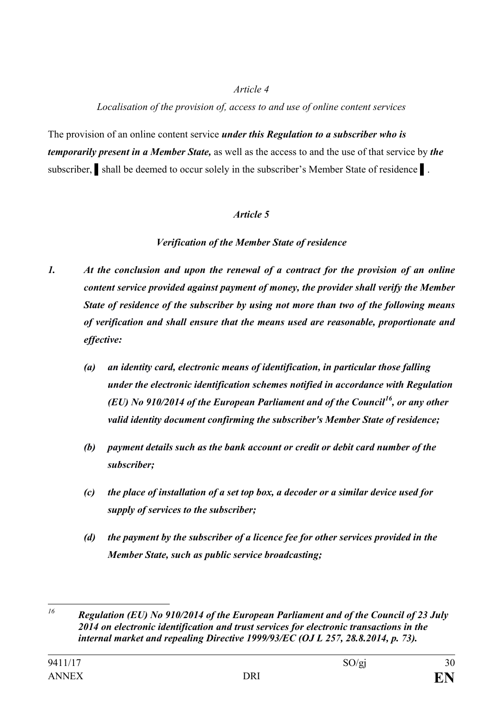### *Localisation of the provision of, access to and use of online content services*

The provision of an online content service *under this Regulation to a subscriber who is temporarily present in a Member State,* as well as the access to and the use of that service by *the*  subscriber, shall be deemed to occur solely in the subscriber's Member State of residence **i**.

## *Article 5*

# *Verification of the Member State of residence*

- *1. At the conclusion and upon the renewal of a contract for the provision of an online content service provided against payment of money, the provider shall verify the Member State of residence of the subscriber by using not more than two of the following means of verification and shall ensure that the means used are reasonable, proportionate and effective:*
	- *(a) an identity card, electronic means of identification, in particular those falling under the electronic identification schemes notified in accordance with Regulation (EU) No 910/2014 of the European Parliament and of the Council[16](#page-29-0), or any other valid identity document confirming the subscriber's Member State of residence;*
	- *(b) payment details such as the bank account or credit or debit card number of the subscriber;*
	- *(c) the place of installation of a set top box, a decoder or a similar device used for supply of services to the subscriber;*
	- *(d) the payment by the subscriber of a licence fee for other services provided in the Member State, such as public service broadcasting;*

<span id="page-29-0"></span>*<sup>16</sup> Regulation (EU) No 910/2014 of the European Parliament and of the Council of 23 July 2014 on electronic identification and trust services for electronic transactions in the internal market and repealing Directive 1999/93/EC (OJ L 257, 28.8.2014, p. 73).*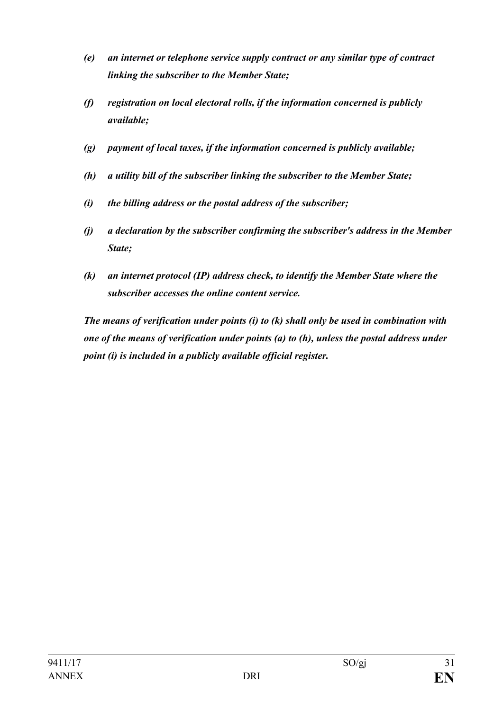- *(e) an internet or telephone service supply contract or any similar type of contract linking the subscriber to the Member State;*
- *(f) registration on local electoral rolls, if the information concerned is publicly available;*
- *(g) payment of local taxes, if the information concerned is publicly available;*
- *(h) a utility bill of the subscriber linking the subscriber to the Member State;*
- *(i) the billing address or the postal address of the subscriber;*
- *(j) a declaration by the subscriber confirming the subscriber's address in the Member State;*
- *(k) an internet protocol (IP) address check, to identify the Member State where the subscriber accesses the online content service.*

*The means of verification under points (i) to (k) shall only be used in combination with one of the means of verification under points (a) to (h), unless the postal address under point (i) is included in a publicly available official register.*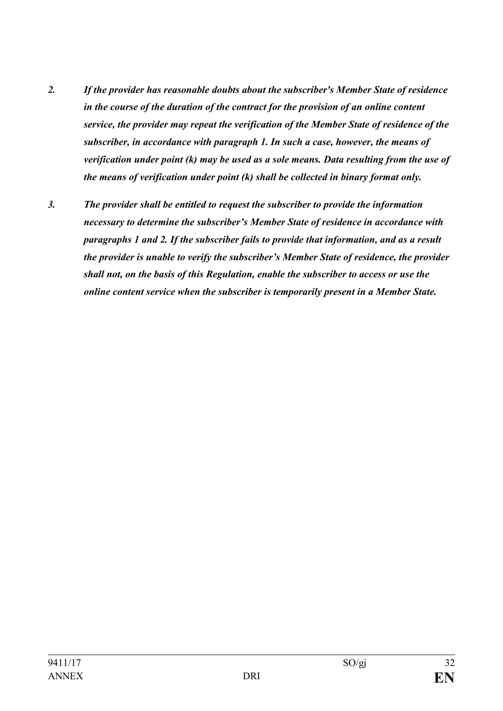- *2. If the provider has reasonable doubts about the subscriber's Member State of residence in the course of the duration of the contract for the provision of an online content service, the provider may repeat the verification of the Member State of residence of the subscriber, in accordance with paragraph 1. In such a case, however, the means of verification under point (k) may be used as a sole means. Data resulting from the use of the means of verification under point (k) shall be collected in binary format only.*
- *3. The provider shall be entitled to request the subscriber to provide the information necessary to determine the subscriber's Member State of residence in accordance with paragraphs 1 and 2. If the subscriber fails to provide that information, and as a result the provider is unable to verify the subscriber's Member State of residence, the provider shall not, on the basis of this Regulation, enable the subscriber to access or use the online content service when the subscriber is temporarily present in a Member State.*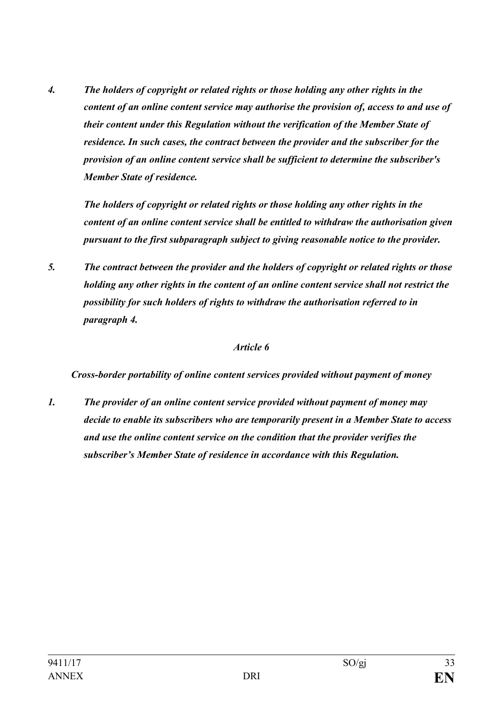*4. The holders of copyright or related rights or those holding any other rights in the content of an online content service may authorise the provision of, access to and use of their content under this Regulation without the verification of the Member State of residence. In such cases, the contract between the provider and the subscriber for the provision of an online content service shall be sufficient to determine the subscriber's Member State of residence.*

*The holders of copyright or related rights or those holding any other rights in the content of an online content service shall be entitled to withdraw the authorisation given pursuant to the first subparagraph subject to giving reasonable notice to the provider.* 

*5. The contract between the provider and the holders of copyright or related rights or those holding any other rights in the content of an online content service shall not restrict the possibility for such holders of rights to withdraw the authorisation referred to in paragraph 4.*

#### *Article 6*

*Cross-border portability of online content services provided without payment of money*

*1. The provider of an online content service provided without payment of money may decide to enable its subscribers who are temporarily present in a Member State to access and use the online content service on the condition that the provider verifies the subscriber's Member State of residence in accordance with this Regulation.*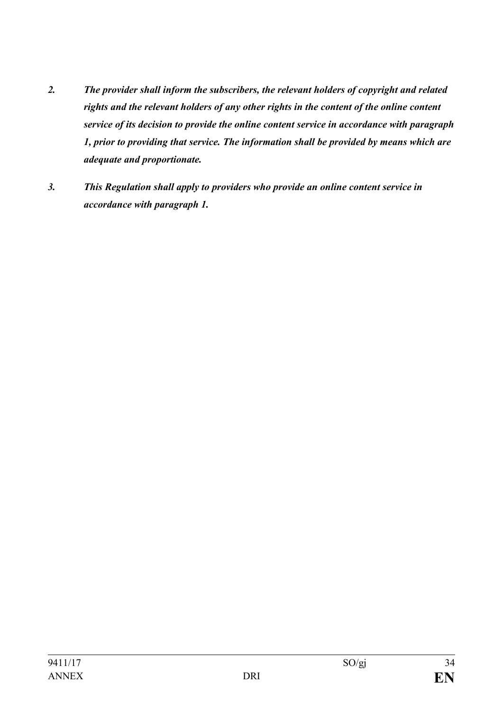- *2. The provider shall inform the subscribers, the relevant holders of copyright and related rights and the relevant holders of any other rights in the content of the online content service of its decision to provide the online content service in accordance with paragraph 1, prior to providing that service. The information shall be provided by means which are adequate and proportionate.*
- *3. This Regulation shall apply to providers who provide an online content service in accordance with paragraph 1.*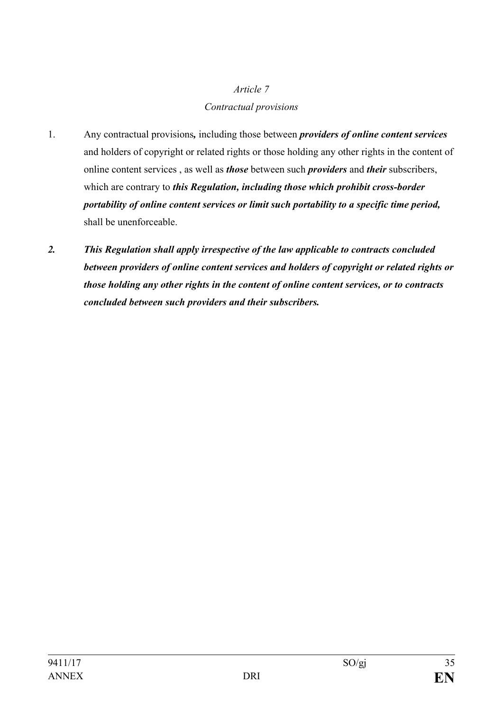# *Article 7 Contractual provisions*

- 1. Any contractual provisions*,* including those between *providers of online content services* and holders of copyright or related rights or those holding any other rights in the content of online content services , as well as *those* between such *providers* and *their* subscribers, which are contrary to *this Regulation, including those which prohibit cross-border portability of online content services or limit such portability to a specific time period,* shall be unenforceable.
- *2. This Regulation shall apply irrespective of the law applicable to contracts concluded between providers of online content services and holders of copyright or related rights or those holding any other rights in the content of online content services, or to contracts concluded between such providers and their subscribers.*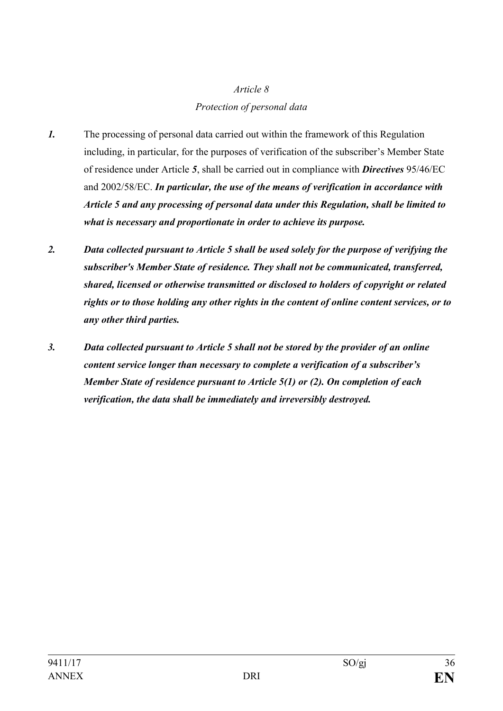# *Article 8 Protection of personal data*

- *1.* The processing of personal data carried out within the framework of this Regulation including, in particular, for the purposes of verification of the subscriber's Member State of residence under Article *5*, shall be carried out in compliance with *Directives* 95/46/EC and 2002/58/EC. *In particular, the use of the means of verification in accordance with Article 5 and any processing of personal data under this Regulation, shall be limited to what is necessary and proportionate in order to achieve its purpose.*
- *2. Data collected pursuant to Article 5 shall be used solely for the purpose of verifying the subscriber's Member State of residence. They shall not be communicated, transferred, shared, licensed or otherwise transmitted or disclosed to holders of copyright or related rights or to those holding any other rights in the content of online content services, or to any other third parties.*
- *3. Data collected pursuant to Article 5 shall not be stored by the provider of an online content service longer than necessary to complete a verification of a subscriber's Member State of residence pursuant to Article 5(1) or (2). On completion of each verification, the data shall be immediately and irreversibly destroyed.*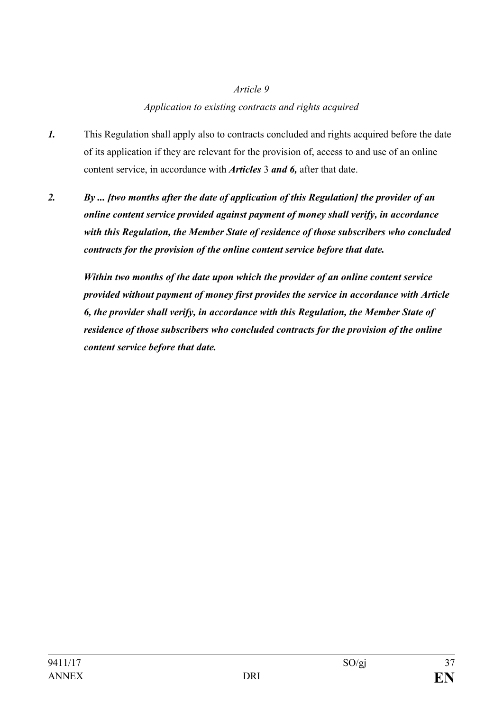### *Application to existing contracts and rights acquired*

- *1.* This Regulation shall apply also to contracts concluded and rights acquired before the date of its application if they are relevant for the provision of, access to and use of an online content service, in accordance with *Articles* 3 *and 6,* after that date.
- *2. By ... [two months after the date of application of this Regulation] the provider of an online content service provided against payment of money shall verify, in accordance with this Regulation, the Member State of residence of those subscribers who concluded contracts for the provision of the online content service before that date.*

*Within two months of the date upon which the provider of an online content service provided without payment of money first provides the service in accordance with Article 6, the provider shall verify, in accordance with this Regulation, the Member State of residence of those subscribers who concluded contracts for the provision of the online content service before that date.*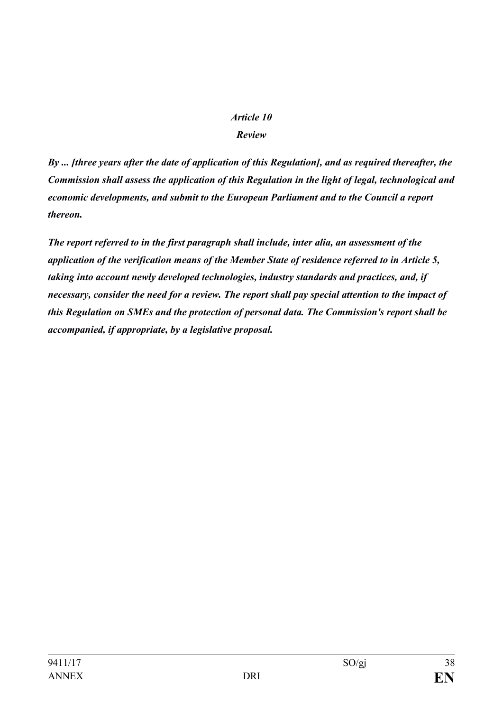### *Review*

*By ... [three years after the date of application of this Regulation], and as required thereafter, the Commission shall assess the application of this Regulation in the light of legal, technological and economic developments, and submit to the European Parliament and to the Council a report thereon.*

*The report referred to in the first paragraph shall include, inter alia, an assessment of the application of the verification means of the Member State of residence referred to in Article 5, taking into account newly developed technologies, industry standards and practices, and, if necessary, consider the need for a review. The report shall pay special attention to the impact of this Regulation on SMEs and the protection of personal data. The Commission's report shall be accompanied, if appropriate, by a legislative proposal.*